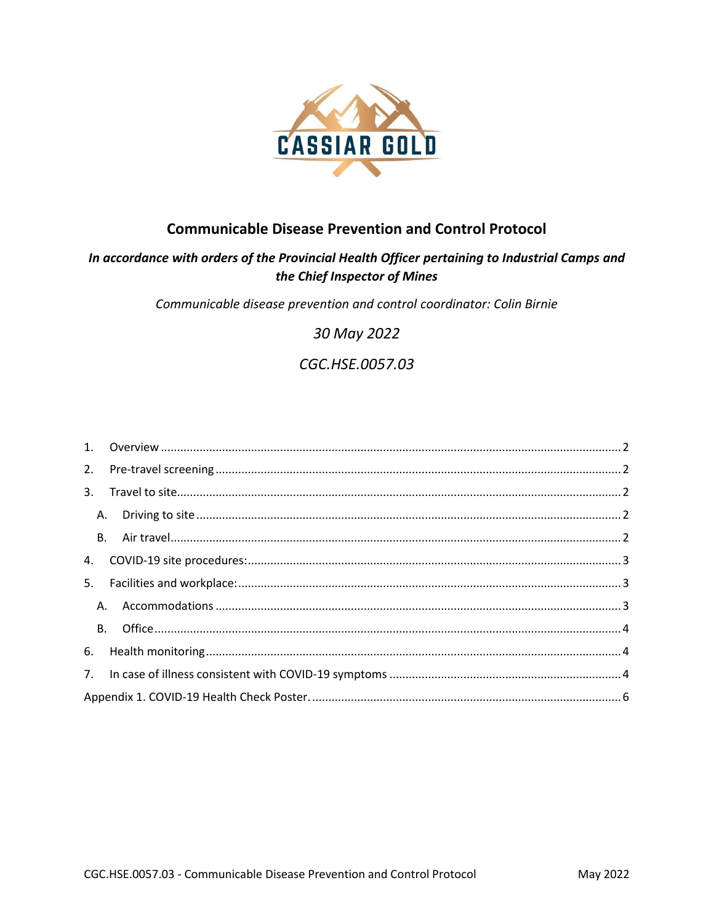

## **Communicable Disease Prevention and Control Protocol**

## In accordance with orders of the Provincial Health Officer pertaining to Industrial Camps and the Chief Inspector of Mines

Communicable disease prevention and control coordinator: Colin Birnie

30 May 2022

# CGC.HSE.0057.03

| 5. |    |  |  |  |
|----|----|--|--|--|
|    | A. |  |  |  |
|    |    |  |  |  |
|    |    |  |  |  |
|    |    |  |  |  |
|    |    |  |  |  |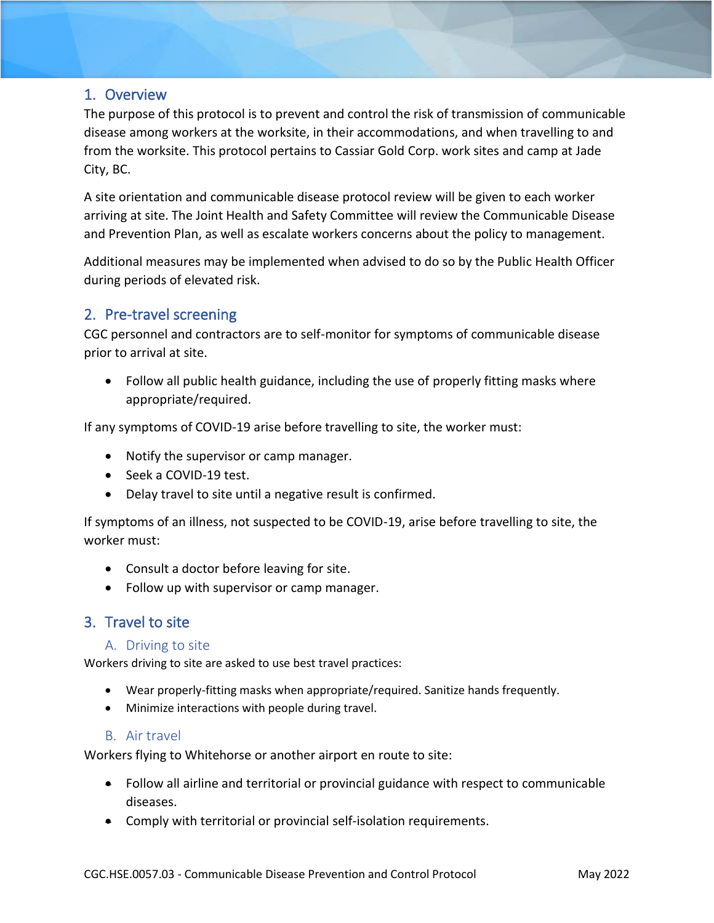### <span id="page-1-0"></span>1. Overview

The purpose of this protocol is to prevent and control the risk of transmission of communicable disease among workers at the worksite, in their accommodations, and when travelling to and from the worksite. This protocol pertains to Cassiar Gold Corp. work sites and camp at Jade City, BC.

A site orientation and communicable disease protocol review will be given to each worker arriving at site. The Joint Health and Safety Committee will review the Communicable Disease and Prevention Plan, as well as escalate workers concerns about the policy to management.

Additional measures may be implemented when advised to do so by the Public Health Officer during periods of elevated risk.

## <span id="page-1-1"></span>2. Pre-travel screening

CGC personnel and contractors are to self-monitor for symptoms of communicable disease prior to arrival at site.

• Follow all public health guidance, including the use of properly fitting masks where appropriate/required.

If any symptoms of COVID-19 arise before travelling to site, the worker must:

- Notify the supervisor or camp manager.
- Seek a COVID-19 test.
- Delay travel to site until a negative result is confirmed.

If symptoms of an illness, not suspected to be COVID-19, arise before travelling to site, the worker must:

- Consult a doctor before leaving for site.
- Follow up with supervisor or camp manager.

## <span id="page-1-3"></span><span id="page-1-2"></span>3. Travel to site

#### A. Driving to site

Workers driving to site are asked to use best travel practices:

- Wear properly-fitting masks when appropriate/required. Sanitize hands frequently.
- Minimize interactions with people during travel.

#### B. Air travel

<span id="page-1-4"></span>Workers flying to Whitehorse or another airport en route to site:

- Follow all airline and territorial or provincial guidance with respect to communicable diseases.
- Comply with territorial or provincial self-isolation requirements.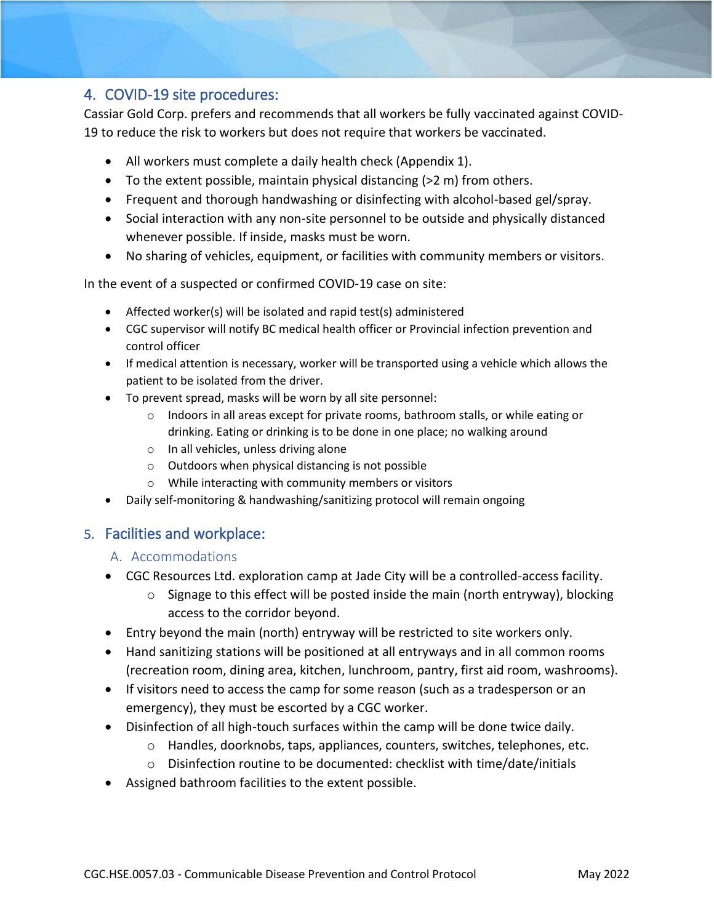## <span id="page-2-0"></span>4. COVID-19 site procedures:

Cassiar Gold Corp. prefers and recommends that all workers be fully vaccinated against COVID-19 to reduce the risk to workers but does not require that workers be vaccinated.

- All workers must complete a daily health check (Appendix 1).
- To the extent possible, maintain physical distancing  $(>2 \, \text{m})$  from others.
- Frequent and thorough handwashing or disinfecting with alcohol-based gel/spray.
- Social interaction with any non-site personnel to be outside and physically distanced whenever possible. If inside, masks must be worn.
- No sharing of vehicles, equipment, or facilities with community members or visitors.

In the event of a suspected or confirmed COVID-19 case on site:

- Affected worker(s) will be isolated and rapid test(s) administered
- CGC supervisor will notify BC medical health officer or Provincial infection prevention and control officer
- If medical attention is necessary, worker will be transported using a vehicle which allows the patient to be isolated from the driver.
- To prevent spread, masks will be worn by all site personnel:
	- o Indoors in all areas except for private rooms, bathroom stalls, or while eating or drinking. Eating or drinking is to be done in one place; no walking around
	- o In all vehicles, unless driving alone
	- o Outdoors when physical distancing is not possible
	- o While interacting with community members or visitors
- Daily self-monitoring & handwashing/sanitizing protocol will remain ongoing

## <span id="page-2-2"></span><span id="page-2-1"></span>5. Facilities and workplace:

#### A. Accommodations

- CGC Resources Ltd. exploration camp at Jade City will be a controlled-access facility.
	- o Signage to this effect will be posted inside the main (north entryway), blocking access to the corridor beyond.
- Entry beyond the main (north) entryway will be restricted to site workers only.
- Hand sanitizing stations will be positioned at all entryways and in all common rooms (recreation room, dining area, kitchen, lunchroom, pantry, first aid room, washrooms).
- If visitors need to access the camp for some reason (such as a tradesperson or an emergency), they must be escorted by a CGC worker.
- Disinfection of all high-touch surfaces within the camp will be done twice daily.
	- o Handles, doorknobs, taps, appliances, counters, switches, telephones, etc.
	- o Disinfection routine to be documented: checklist with time/date/initials
- Assigned bathroom facilities to the extent possible.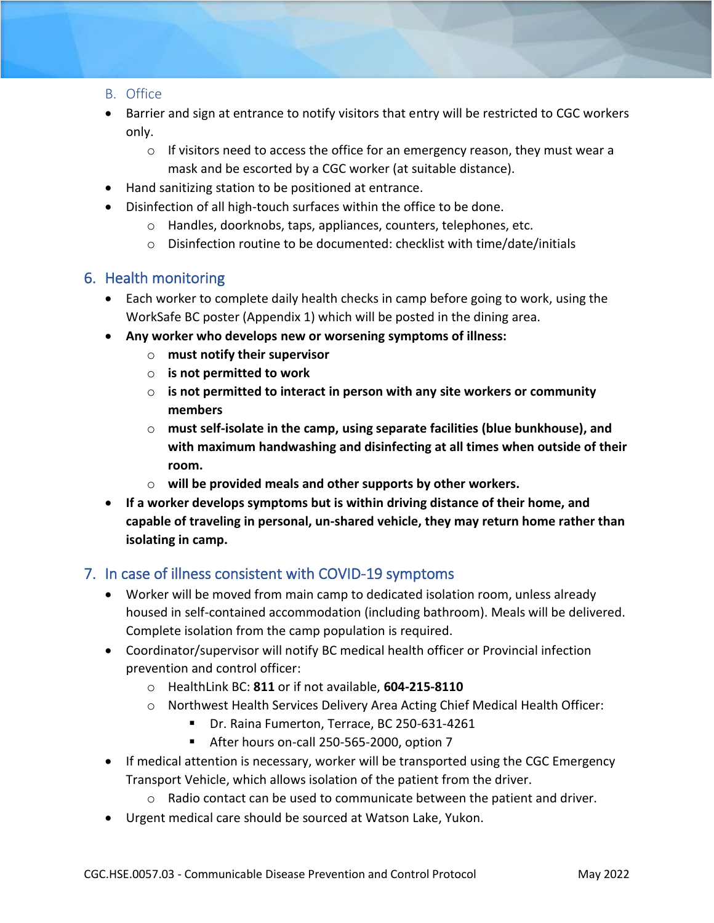### <span id="page-3-0"></span>B. Office

- Barrier and sign at entrance to notify visitors that entry will be restricted to CGC workers only.
	- $\circ$  If visitors need to access the office for an emergency reason, they must wear a mask and be escorted by a CGC worker (at suitable distance).
- Hand sanitizing station to be positioned at entrance.
- Disinfection of all high-touch surfaces within the office to be done.
	- o Handles, doorknobs, taps, appliances, counters, telephones, etc.
	- o Disinfection routine to be documented: checklist with time/date/initials

## <span id="page-3-1"></span>6. Health monitoring

- Each worker to complete daily health checks in camp before going to work, using the WorkSafe BC poster (Appendix 1) which will be posted in the dining area.
- **Any worker who develops new or worsening symptoms of illness:** 
	- o **must notify their supervisor**
	- o **is not permitted to work**
	- o **is not permitted to interact in person with any site workers or community members**
	- o **must self-isolate in the camp, using separate facilities (blue bunkhouse), and with maximum handwashing and disinfecting at all times when outside of their room.**
	- o **will be provided meals and other supports by other workers.**
- **If a worker develops symptoms but is within driving distance of their home, and capable of traveling in personal, un-shared vehicle, they may return home rather than isolating in camp.**

## <span id="page-3-2"></span>7. In case of illness consistent with COVID-19 symptoms

- Worker will be moved from main camp to dedicated isolation room, unless already housed in self-contained accommodation (including bathroom). Meals will be delivered. Complete isolation from the camp population is required.
- Coordinator/supervisor will notify BC medical health officer or Provincial infection prevention and control officer:
	- o HealthLink BC: **811** or if not available, **604-215-8110**
	- o Northwest Health Services Delivery Area Acting Chief Medical Health Officer:
		- Dr. Raina Fumerton, Terrace, BC 250-631-4261
		- After hours on-call 250-565-2000, option 7
- If medical attention is necessary, worker will be transported using the CGC Emergency Transport Vehicle, which allows isolation of the patient from the driver.
	- $\circ$  Radio contact can be used to communicate between the patient and driver.
- Urgent medical care should be sourced at Watson Lake, Yukon.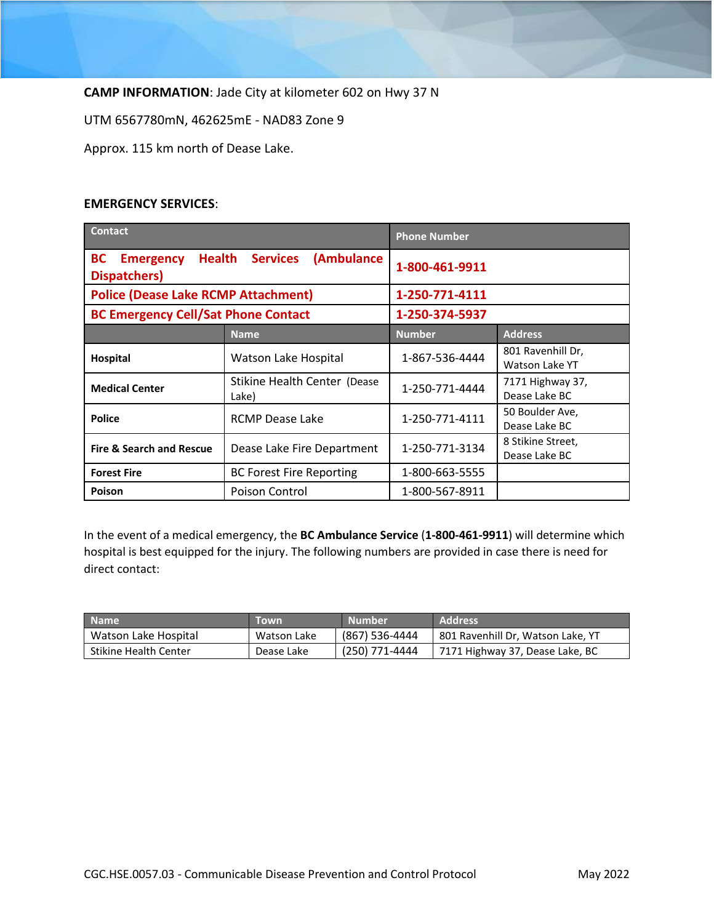**CAMP INFORMATION**: Jade City at kilometer 602 on Hwy 37 N

UTM 6567780mN, 462625mE - NAD83 Zone 9

Approx. 115 km north of Dease Lake.

#### **EMERGENCY SERVICES**:

| <b>Contact</b>                                                 |                                       | <b>Phone Number</b> |                                     |  |
|----------------------------------------------------------------|---------------------------------------|---------------------|-------------------------------------|--|
| <b>Health</b><br><b>BC</b><br><b>Emergency</b><br>Dispatchers) | <b>Services</b><br>(Ambulance         | 1-800-461-9911      |                                     |  |
| <b>Police (Dease Lake RCMP Attachment)</b>                     |                                       | 1-250-771-4111      |                                     |  |
| <b>BC Emergency Cell/Sat Phone Contact</b>                     |                                       | 1-250-374-5937      |                                     |  |
|                                                                | <b>Name</b>                           | <b>Number</b>       | <b>Address</b>                      |  |
| Hospital                                                       | Watson Lake Hospital                  | 1-867-536-4444      | 801 Ravenhill Dr,<br>Watson Lake YT |  |
| <b>Medical Center</b>                                          | Stikine Health Center (Dease<br>Lake) | 1-250-771-4444      | 7171 Highway 37,<br>Dease Lake BC   |  |
| <b>Police</b>                                                  | <b>RCMP Dease Lake</b>                | 1-250-771-4111      | 50 Boulder Ave,<br>Dease Lake BC    |  |
| <b>Fire &amp; Search and Rescue</b>                            | Dease Lake Fire Department            | 1-250-771-3134      | 8 Stikine Street,<br>Dease Lake BC  |  |
| <b>Forest Fire</b>                                             | <b>BC Forest Fire Reporting</b>       | 1-800-663-5555      |                                     |  |
| Poison                                                         | Poison Control                        | 1-800-567-8911      |                                     |  |

In the event of a medical emergency, the **BC Ambulance Service** (**1-800-461-9911**) will determine which hospital is best equipped for the injury. The following numbers are provided in case there is need for direct contact:

| <b>Name</b>                  | Town        | <b>Number</b>  | Address'                          |
|------------------------------|-------------|----------------|-----------------------------------|
| Watson Lake Hospital         | Watson Lake | (867) 536-4444 | 801 Ravenhill Dr, Watson Lake, YT |
| <b>Stikine Health Center</b> | Dease Lake  | (250) 771-4444 | 7171 Highway 37, Dease Lake, BC   |